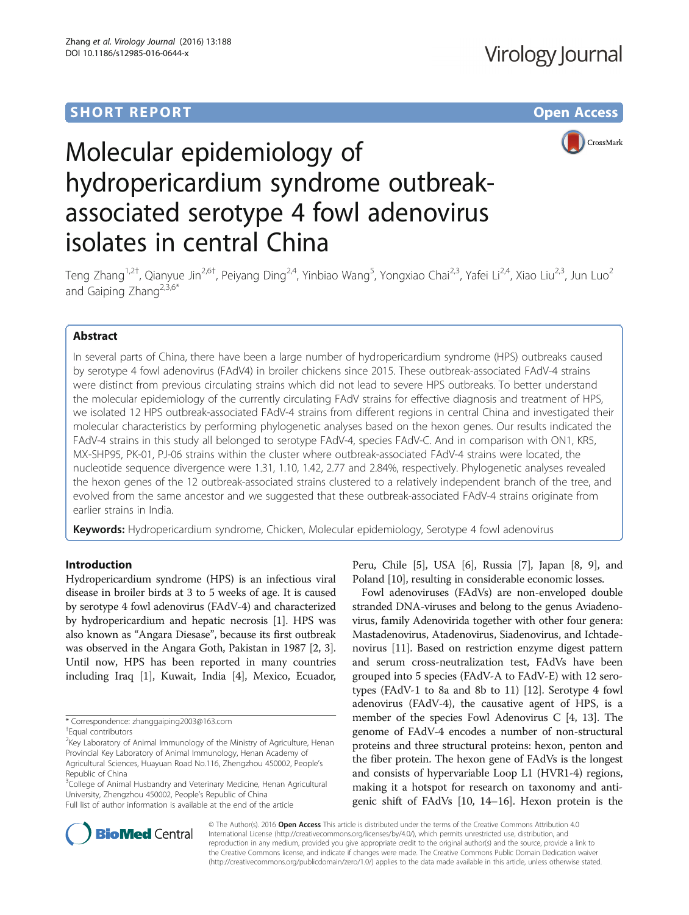# **SHORT REPORT SHORT CONSUMING THE CONSUMING THE CONSUMING THE CONSUMING THE CONSUMING THE CONSUMING THE CONSUMING THE CONSUMING THE CONSUMING THE CONSUMING THE CONSUMING THE CONSUMING THE CONSUMING THE CONSUMING THE CONS**



# Molecular epidemiology of hydropericardium syndrome outbreakassociated serotype 4 fowl adenovirus isolates in central China

Teng Zhang<sup>1,2†</sup>, Qianyue Jin<sup>2,6†</sup>, Peiyang Ding<sup>2,4</sup>, Yinbiao Wang<sup>5</sup>, Yongxiao Chai<sup>2,3</sup>, Yafei Li<sup>2,4</sup>, Xiao Liu<sup>2,3</sup>, Jun Luo<sup>2</sup> and Gaiping Zhang<sup>2,3,6\*</sup>

# Abstract

In several parts of China, there have been a large number of hydropericardium syndrome (HPS) outbreaks caused by serotype 4 fowl adenovirus (FAdV4) in broiler chickens since 2015. These outbreak-associated FAdV-4 strains were distinct from previous circulating strains which did not lead to severe HPS outbreaks. To better understand the molecular epidemiology of the currently circulating FAdV strains for effective diagnosis and treatment of HPS, we isolated 12 HPS outbreak-associated FAdV-4 strains from different regions in central China and investigated their molecular characteristics by performing phylogenetic analyses based on the hexon genes. Our results indicated the FAdV-4 strains in this study all belonged to serotype FAdV-4, species FAdV-C. And in comparison with ON1, KR5, MX-SHP95, PK-01, PJ-06 strains within the cluster where outbreak-associated FAdV-4 strains were located, the nucleotide sequence divergence were 1.31, 1.10, 1.42, 2.77 and 2.84%, respectively. Phylogenetic analyses revealed the hexon genes of the 12 outbreak-associated strains clustered to a relatively independent branch of the tree, and evolved from the same ancestor and we suggested that these outbreak-associated FAdV-4 strains originate from earlier strains in India.

Keywords: Hydropericardium syndrome, Chicken, Molecular epidemiology, Serotype 4 fowl adenovirus

## Introduction

Hydropericardium syndrome (HPS) is an infectious viral disease in broiler birds at 3 to 5 weeks of age. It is caused by serotype 4 fowl adenovirus (FAdV-4) and characterized by hydropericardium and hepatic necrosis [\[1\]](#page-6-0). HPS was also known as "Angara Diesase", because its first outbreak was observed in the Angara Goth, Pakistan in 1987 [[2](#page-6-0), [3](#page-6-0)]. Until now, HPS has been reported in many countries including Iraq [[1\]](#page-6-0), Kuwait, India [[4\]](#page-6-0), Mexico, Ecuador,

<sup>3</sup>College of Animal Husbandry and Veterinary Medicine, Henan Agricultural University, Zhengzhou 450002, People's Republic of China Full list of author information is available at the end of the article

Peru, Chile [[5\]](#page-6-0), USA [\[6](#page-6-0)], Russia [\[7\]](#page-6-0), Japan [\[8](#page-6-0), [9](#page-6-0)], and Poland [\[10\]](#page-6-0), resulting in considerable economic losses.

Fowl adenoviruses (FAdVs) are non-enveloped double stranded DNA-viruses and belong to the genus Aviadenovirus, family Adenovirida together with other four genera: Mastadenovirus, Atadenovirus, Siadenovirus, and Ichtadenovirus [[11](#page-6-0)]. Based on restriction enzyme digest pattern and serum cross-neutralization test, FAdVs have been grouped into 5 species (FAdV-A to FAdV-E) with 12 serotypes (FAdV-1 to 8a and 8b to 11) [[12](#page-6-0)]. Serotype 4 fowl adenovirus (FAdV-4), the causative agent of HPS, is a member of the species Fowl Adenovirus C [\[4](#page-6-0), [13](#page-6-0)]. The genome of FAdV-4 encodes a number of non-structural proteins and three structural proteins: hexon, penton and the fiber protein. The hexon gene of FAdVs is the longest and consists of hypervariable Loop L1 (HVR1-4) regions, making it a hotspot for research on taxonomy and antigenic shift of FAdVs [[10](#page-6-0), [14](#page-6-0)–[16](#page-6-0)]. Hexon protein is the



© The Author(s). 2016 Open Access This article is distributed under the terms of the Creative Commons Attribution 4.0 International License [\(http://creativecommons.org/licenses/by/4.0/](http://creativecommons.org/licenses/by/4.0/)), which permits unrestricted use, distribution, and reproduction in any medium, provided you give appropriate credit to the original author(s) and the source, provide a link to the Creative Commons license, and indicate if changes were made. The Creative Commons Public Domain Dedication waiver [\(http://creativecommons.org/publicdomain/zero/1.0/](http://creativecommons.org/publicdomain/zero/1.0/)) applies to the data made available in this article, unless otherwise stated.

<sup>\*</sup> Correspondence: [zhanggaiping2003@163.com](mailto:zhanggaiping2003@163.com) †

Equal contributors

<sup>&</sup>lt;sup>2</sup>Key Laboratory of Animal Immunology of the Ministry of Agriculture, Henan Provincial Key Laboratory of Animal Immunology, Henan Academy of Agricultural Sciences, Huayuan Road No.116, Zhengzhou 450002, People's Republic of China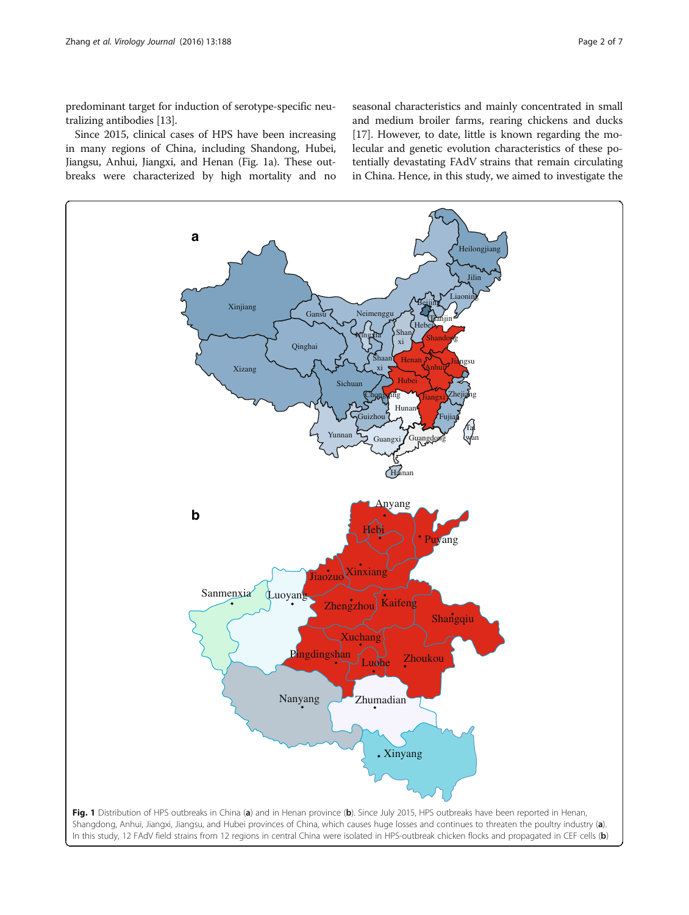<span id="page-1-0"></span>predominant target for induction of serotype-specific neutralizing antibodies [\[13](#page-6-0)].

Since 2015, clinical cases of HPS have been increasing in many regions of China, including Shandong, Hubei, Jiangsu, Anhui, Jiangxi, and Henan (Fig. 1a). These outbreaks were characterized by high mortality and no

seasonal characteristics and mainly concentrated in small and medium broiler farms, rearing chickens and ducks [[17](#page-6-0)]. However, to date, little is known regarding the molecular and genetic evolution characteristics of these potentially devastating FAdV strains that remain circulating in China. Hence, in this study, we aimed to investigate the

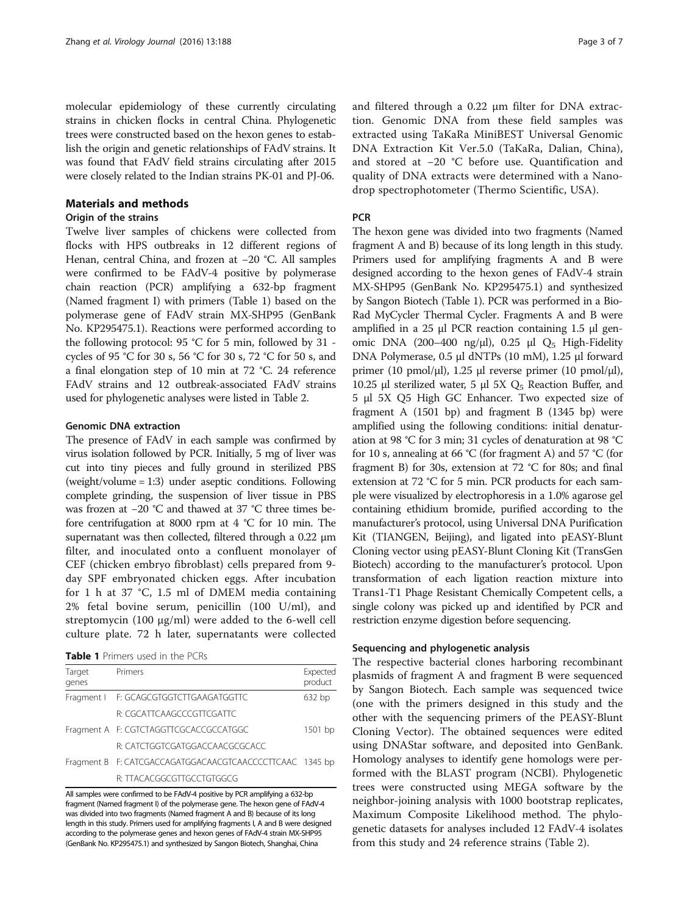molecular epidemiology of these currently circulating strains in chicken flocks in central China. Phylogenetic trees were constructed based on the hexon genes to establish the origin and genetic relationships of FAdV strains. It was found that FAdV field strains circulating after 2015 were closely related to the Indian strains PK-01 and PJ-06.

#### Materials and methods

### Origin of the strains

Twelve liver samples of chickens were collected from flocks with HPS outbreaks in 12 different regions of Henan, central China, and frozen at −20 °C. All samples were confirmed to be FAdV-4 positive by polymerase chain reaction (PCR) amplifying a 632-bp fragment (Named fragment I) with primers (Table 1) based on the polymerase gene of FAdV strain MX-SHP95 (GenBank No. KP295475.1). Reactions were performed according to the following protocol: 95 °C for 5 min, followed by 31 cycles of 95 °C for 30 s, 56 °C for 30 s, 72 °C for 50 s, and a final elongation step of 10 min at 72 °C. 24 reference FAdV strains and 12 outbreak-associated FAdV strains used for phylogenetic analyses were listed in Table [2](#page-3-0).

#### Genomic DNA extraction

The presence of FAdV in each sample was confirmed by virus isolation followed by PCR. Initially, 5 mg of liver was cut into tiny pieces and fully ground in sterilized PBS (weight/volume = 1:3) under aseptic conditions. Following complete grinding, the suspension of liver tissue in PBS was frozen at −20 °C and thawed at 37 °C three times before centrifugation at 8000 rpm at 4 °C for 10 min. The supernatant was then collected, filtered through a 0.22 μm filter, and inoculated onto a confluent monolayer of CEF (chicken embryo fibroblast) cells prepared from 9 day SPF embryonated chicken eggs. After incubation for 1 h at 37 °C, 1.5 ml of DMEM media containing 2% fetal bovine serum, penicillin (100 U/ml), and streptomycin (100 μg/ml) were added to the 6-well cell culture plate. 72 h later, supernatants were collected

| <b>Table 1</b> Primers used in the PCRs |  |  |  |  |
|-----------------------------------------|--|--|--|--|
|-----------------------------------------|--|--|--|--|

| Target<br>genes | Primers                                                  | Expected<br>product |
|-----------------|----------------------------------------------------------|---------------------|
|                 | Fragment   F: GCAGCGTGGTCTTGAAGATGGTTC                   | 632 bp              |
|                 | R: CGCATTCAAGCCCGTTCGATTC                                |                     |
|                 | Fragment A F: CGTCTAGGTTCGCACCGCCATGGC                   | 1501 bp             |
|                 | R: CATCTGGTCGATGGACCAACGCGCACC                           |                     |
|                 | Fragment B F: CATCGACCAGATGGACAACGTCAACCCCTTCAAC 1345 bp |                     |
|                 | R: TTACACGGCGTTGCCTGTGGCG                                |                     |

All samples were confirmed to be FAdV-4 positive by PCR amplifying a 632-bp fragment (Named fragment I) of the polymerase gene. The hexon gene of FAdV-4 was divided into two fragments (Named fragment A and B) because of its long length in this study. Primers used for amplifying fragments I, A and B were designed according to the polymerase genes and hexon genes of FAdV-4 strain MX-SHP95 (GenBank No. KP295475.1) and synthesized by Sangon Biotech, Shanghai, China

and filtered through a 0.22 μm filter for DNA extraction. Genomic DNA from these field samples was extracted using TaKaRa MiniBEST Universal Genomic DNA Extraction Kit Ver.5.0 (TaKaRa, Dalian, China), and stored at −20 °C before use. Quantification and quality of DNA extracts were determined with a Nanodrop spectrophotometer (Thermo Scientific, USA).

#### **PCR**

The hexon gene was divided into two fragments (Named fragment A and B) because of its long length in this study. Primers used for amplifying fragments A and B were designed according to the hexon genes of FAdV-4 strain MX-SHP95 (GenBank No. KP295475.1) and synthesized by Sangon Biotech (Table 1). PCR was performed in a Bio-Rad MyCycler Thermal Cycler. Fragments A and B were amplified in a 25 μl PCR reaction containing 1.5 μl genomic DNA (200-400 ng/μl), 0.25 μl  $Q_5$  High-Fidelity DNA Polymerase, 0.5 μl dNTPs (10 mM), 1.25 μl forward primer (10 pmol/μl), 1.25 μl reverse primer (10 pmol/μl), 10.25 μl sterilized water, 5 μl 5X  $Q_5$  Reaction Buffer, and 5 μl 5X Q5 High GC Enhancer. Two expected size of fragment A (1501 bp) and fragment B (1345 bp) were amplified using the following conditions: initial denaturation at 98 °C for 3 min; 31 cycles of denaturation at 98 °C for 10 s, annealing at 66 °C (for fragment A) and 57 °C (for fragment B) for 30s, extension at 72 °C for 80s; and final extension at 72 °C for 5 min. PCR products for each sample were visualized by electrophoresis in a 1.0% agarose gel containing ethidium bromide, purified according to the manufacturer's protocol, using Universal DNA Purification Kit (TIANGEN, Beijing), and ligated into pEASY-Blunt Cloning vector using pEASY-Blunt Cloning Kit (TransGen Biotech) according to the manufacturer's protocol. Upon transformation of each ligation reaction mixture into Trans1-T1 Phage Resistant Chemically Competent cells, a single colony was picked up and identified by PCR and restriction enzyme digestion before sequencing.

#### Sequencing and phylogenetic analysis

The respective bacterial clones harboring recombinant plasmids of fragment A and fragment B were sequenced by Sangon Biotech. Each sample was sequenced twice (one with the primers designed in this study and the other with the sequencing primers of the PEASY-Blunt Cloning Vector). The obtained sequences were edited using DNAStar software, and deposited into GenBank. Homology analyses to identify gene homologs were performed with the BLAST program (NCBI). Phylogenetic trees were constructed using MEGA software by the neighbor-joining analysis with 1000 bootstrap replicates, Maximum Composite Likelihood method. The phylogenetic datasets for analyses included 12 FAdV-4 isolates from this study and 24 reference strains (Table [2](#page-3-0)).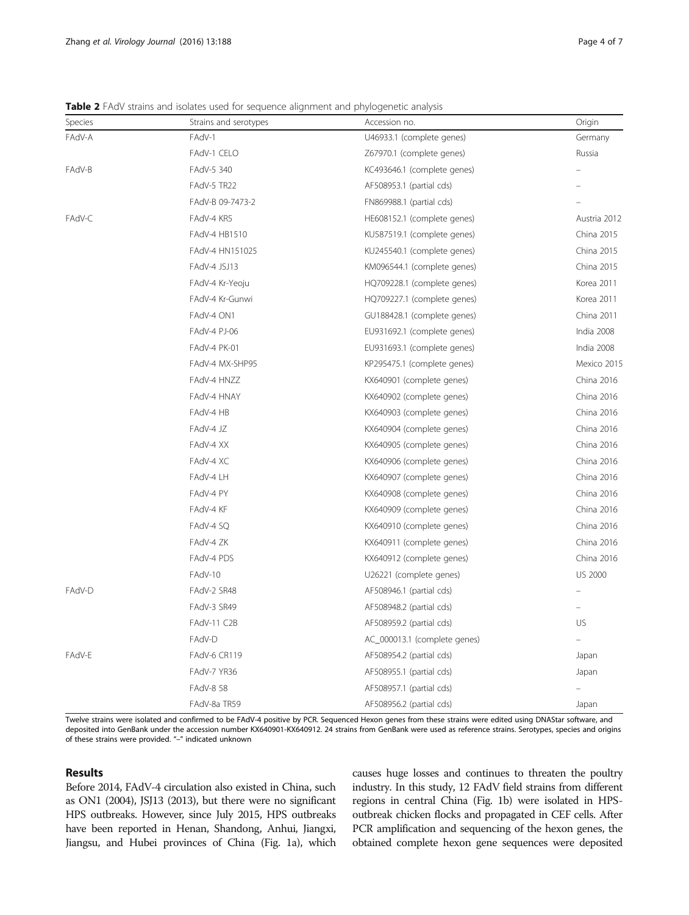<span id="page-3-0"></span>Table 2 FAdV strains and isolates used for sequence alignment and phylogenetic analysis

| Species | Strains and serotypes | Accession no.                | Origin         |
|---------|-----------------------|------------------------------|----------------|
| FAdV-A  | FAdV-1                | U46933.1 (complete genes)    | Germany        |
|         | FAdV-1 CELO           | Z67970.1 (complete genes)    | Russia         |
| FAdV-B  | FAdV-5 340            | KC493646.1 (complete genes)  |                |
|         | FAdV-5 TR22           | AF508953.1 (partial cds)     |                |
|         | FAdV-B 09-7473-2      | FN869988.1 (partial cds)     |                |
| FAdV-C  | FAdV-4 KR5            | HE608152.1 (complete genes)  | Austria 2012   |
|         | FAdV-4 HB1510         | KU587519.1 (complete genes)  | China 2015     |
|         | FAdV-4 HN151025       | KU245540.1 (complete genes)  | China 2015     |
|         | FAdV-4 JSJ13          | KM096544.1 (complete genes)  | China 2015     |
|         | FAdV-4 Kr-Yeoju       | HQ709228.1 (complete genes)  | Korea 2011     |
|         | FAdV-4 Kr-Gunwi       | HQ709227.1 (complete genes)  | Korea 2011     |
|         | FAdV-4 ON1            | GU188428.1 (complete genes)  | China 2011     |
|         | FAdV-4 PJ-06          | EU931692.1 (complete genes)  | India 2008     |
|         | FAdV-4 PK-01          | EU931693.1 (complete genes)  | India 2008     |
|         | FAdV-4 MX-SHP95       | KP295475.1 (complete genes)  | Mexico 2015    |
|         | FAdV-4 HNZZ           | KX640901 (complete genes)    | China 2016     |
|         | FAdV-4 HNAY           | KX640902 (complete genes)    | China 2016     |
|         | FAdV-4 HB             | KX640903 (complete genes)    | China 2016     |
|         | FAdV-4 JZ             | KX640904 (complete genes)    | China 2016     |
|         | FAdV-4 XX             | KX640905 (complete genes)    | China 2016     |
|         | FAdV-4 XC             | KX640906 (complete genes)    | China 2016     |
|         | FAdV-4 LH             | KX640907 (complete genes)    | China 2016     |
|         | FAdV-4 PY             | KX640908 (complete genes)    | China 2016     |
|         | FAdV-4 KF             | KX640909 (complete genes)    | China 2016     |
|         | FAdV-4 SQ             | KX640910 (complete genes)    | China 2016     |
|         | FAdV-4 ZK             | KX640911 (complete genes)    | China 2016     |
|         | FAdV-4 PDS            | KX640912 (complete genes)    | China 2016     |
|         | FAdV-10               | U26221 (complete genes)      | <b>US 2000</b> |
| FAdV-D  | FAdV-2 SR48           | AF508946.1 (partial cds)     |                |
|         | FAdV-3 SR49           | AF508948.2 (partial cds)     |                |
|         | FAdV-11 C2B           | AF508959.2 (partial cds)     | US             |
|         | FAdV-D                | AC_000013.1 (complete genes) |                |
| FAdV-E  | FAdV-6 CR119          | AF508954.2 (partial cds)     | Japan          |
|         | FAdV-7 YR36           | AF508955.1 (partial cds)     | Japan          |
|         | FAdV-8 58             | AF508957.1 (partial cds)     |                |
|         | FAdV-8a TR59          | AF508956.2 (partial cds)     | Japan          |

Twelve strains were isolated and confirmed to be FAdV-4 positive by PCR. Sequenced Hexon genes from these strains were edited using DNAStar software, and deposited into GenBank under the accession number KX640901-KX640912. 24 strains from GenBank were used as reference strains. Serotypes, species and origins of these strains were provided. "–" indicated unknown

# Results

Before 2014, FAdV-4 circulation also existed in China, such as ON1 (2004), JSJ13 (2013), but there were no significant HPS outbreaks. However, since July 2015, HPS outbreaks have been reported in Henan, Shandong, Anhui, Jiangxi, Jiangsu, and Hubei provinces of China (Fig. [1a\)](#page-1-0), which causes huge losses and continues to threaten the poultry industry. In this study, 12 FAdV field strains from different regions in central China (Fig. [1b](#page-1-0)) were isolated in HPSoutbreak chicken flocks and propagated in CEF cells. After PCR amplification and sequencing of the hexon genes, the obtained complete hexon gene sequences were deposited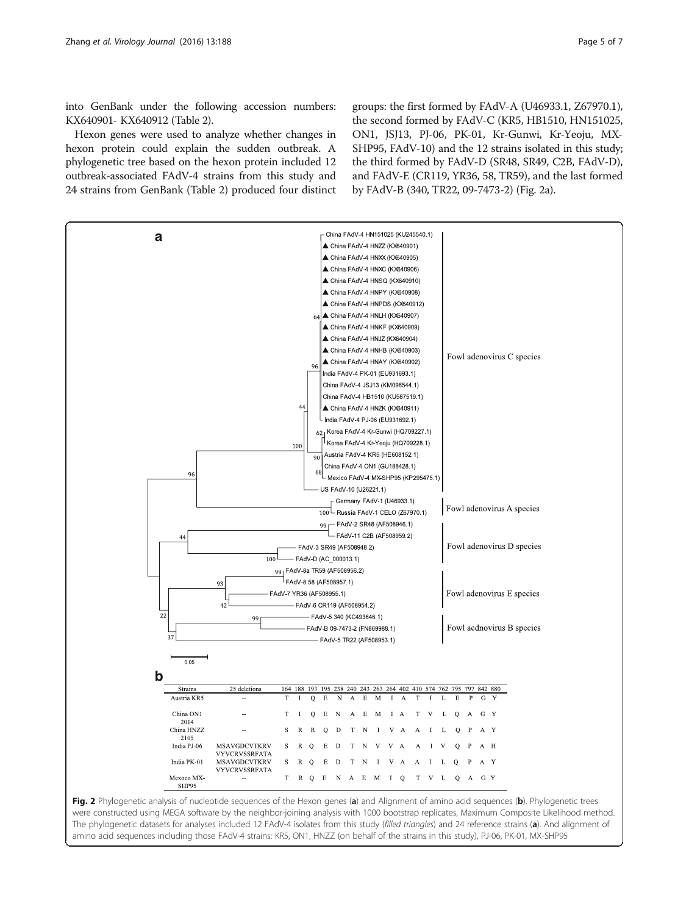<span id="page-4-0"></span>into GenBank under the following accession numbers: KX640901- KX640912 (Table [2\)](#page-3-0).

Hexon genes were used to analyze whether changes in hexon protein could explain the sudden outbreak. A phylogenetic tree based on the hexon protein included 12 outbreak-associated FAdV-4 strains from this study and 24 strains from GenBank (Table [2](#page-3-0)) produced four distinct groups: the first formed by FAdV-A (U46933.1, Z67970.1), the second formed by FAdV-C (KR5, HB1510, HN151025, ON1, JSJ13, PJ-06, PK-01, Kr-Gunwi, Kr-Yeoju, MX-SHP95, FAdV-10) and the 12 strains isolated in this study; the third formed by FAdV-D (SR48, SR49, C2B, FAdV-D), and FAdV-E (CR119, YR36, 58, TR59), and the last formed by FAdV-B (340, TR22, 09-7473-2) (Fig. 2a).



were constructed using MEGA software by the neighbor-joining analysis with 1000 bootstrap replicates, Maximum Composite Likelihood method. The phylogenetic datasets for analyses included 12 FAdV-4 isolates from this study (filled triangles) and 24 reference strains (a). And alignment of amino acid sequences including those FAdV-4 strains: KR5, ON1, HNZZ (on behalf of the strains in this study), PJ-06, PK-01, MX-SHP95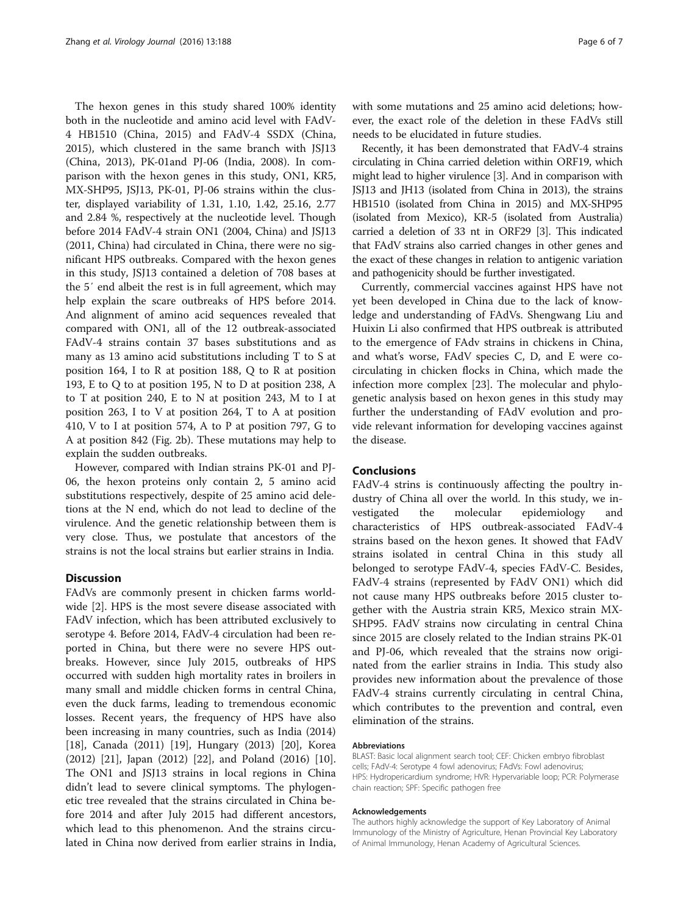The hexon genes in this study shared 100% identity both in the nucleotide and amino acid level with FAdV-4 HB1510 (China, 2015) and FAdV-4 SSDX (China, 2015), which clustered in the same branch with JSJ13 (China, 2013), PK-01and PJ-06 (India, 2008). In comparison with the hexon genes in this study, ON1, KR5, MX-SHP95, JSJ13, PK-01, PJ-06 strains within the cluster, displayed variability of 1.31, 1.10, 1.42, 25.16, 2.77 and 2.84 %, respectively at the nucleotide level. Though before 2014 FAdV-4 strain ON1 (2004, China) and JSJ13 (2011, China) had circulated in China, there were no significant HPS outbreaks. Compared with the hexon genes in this study, JSJ13 contained a deletion of 708 bases at the 5′ end albeit the rest is in full agreement, which may help explain the scare outbreaks of HPS before 2014. And alignment of amino acid sequences revealed that compared with ON1, all of the 12 outbreak-associated FAdV-4 strains contain 37 bases substitutions and as many as 13 amino acid substitutions including T to S at position 164, I to R at position 188, Q to R at position 193, E to Q to at position 195, N to D at position 238, A to T at position 240, E to N at position 243, M to I at position 263, I to V at position 264, T to A at position 410, V to I at position 574, A to P at position 797, G to A at position 842 (Fig. [2b\)](#page-4-0). These mutations may help to explain the sudden outbreaks.

However, compared with Indian strains PK-01 and PJ-06, the hexon proteins only contain 2, 5 amino acid substitutions respectively, despite of 25 amino acid deletions at the N end, which do not lead to decline of the virulence. And the genetic relationship between them is very close. Thus, we postulate that ancestors of the strains is not the local strains but earlier strains in India.

#### **Discussion**

FAdVs are commonly present in chicken farms worldwide [\[2](#page-6-0)]. HPS is the most severe disease associated with FAdV infection, which has been attributed exclusively to serotype 4. Before 2014, FAdV-4 circulation had been reported in China, but there were no severe HPS outbreaks. However, since July 2015, outbreaks of HPS occurred with sudden high mortality rates in broilers in many small and middle chicken forms in central China, even the duck farms, leading to tremendous economic losses. Recent years, the frequency of HPS have also been increasing in many countries, such as India (2014) [[18\]](#page-6-0), Canada (2011) [\[19](#page-6-0)], Hungary (2013) [[20\]](#page-6-0), Korea (2012) [\[21](#page-6-0)], Japan (2012) [\[22\]](#page-6-0), and Poland (2016) [\[10](#page-6-0)]. The ON1 and JSJ13 strains in local regions in China didn't lead to severe clinical symptoms. The phylogenetic tree revealed that the strains circulated in China before 2014 and after July 2015 had different ancestors, which lead to this phenomenon. And the strains circulated in China now derived from earlier strains in India,

with some mutations and 25 amino acid deletions; however, the exact role of the deletion in these FAdVs still needs to be elucidated in future studies.

Recently, it has been demonstrated that FAdV-4 strains circulating in China carried deletion within ORF19, which might lead to higher virulence [[3](#page-6-0)]. And in comparison with JSJ13 and JH13 (isolated from China in 2013), the strains HB1510 (isolated from China in 2015) and MX-SHP95 (isolated from Mexico), KR-5 (isolated from Australia) carried a deletion of 33 nt in ORF29 [[3](#page-6-0)]. This indicated that FAdV strains also carried changes in other genes and the exact of these changes in relation to antigenic variation and pathogenicity should be further investigated.

Currently, commercial vaccines against HPS have not yet been developed in China due to the lack of knowledge and understanding of FAdVs. Shengwang Liu and Huixin Li also confirmed that HPS outbreak is attributed to the emergence of FAdv strains in chickens in China, and what's worse, FAdV species C, D, and E were cocirculating in chicken flocks in China, which made the infection more complex [[23\]](#page-6-0). The molecular and phylogenetic analysis based on hexon genes in this study may further the understanding of FAdV evolution and provide relevant information for developing vaccines against the disease.

#### Conclusions

FAdV-4 strins is continuously affecting the poultry industry of China all over the world. In this study, we investigated the molecular epidemiology and characteristics of HPS outbreak-associated FAdV-4 strains based on the hexon genes. It showed that FAdV strains isolated in central China in this study all belonged to serotype FAdV-4, species FAdV-C. Besides, FAdV-4 strains (represented by FAdV ON1) which did not cause many HPS outbreaks before 2015 cluster together with the Austria strain KR5, Mexico strain MX-SHP95. FAdV strains now circulating in central China since 2015 are closely related to the Indian strains PK-01 and PJ-06, which revealed that the strains now originated from the earlier strains in India. This study also provides new information about the prevalence of those FAdV-4 strains currently circulating in central China, which contributes to the prevention and contral, even elimination of the strains.

#### Abbreviations

BLAST: Basic local alignment search tool; CEF: Chicken embryo fibroblast cells; FAdV-4: Serotype 4 fowl adenovirus; FAdVs: Fowl adenovirus; HPS: Hydropericardium syndrome; HVR: Hypervariable loop; PCR: Polymerase chain reaction; SPF: Specific pathogen free

#### Acknowledgements

The authors highly acknowledge the support of Key Laboratory of Animal Immunology of the Ministry of Agriculture, Henan Provincial Key Laboratory of Animal Immunology, Henan Academy of Agricultural Sciences.